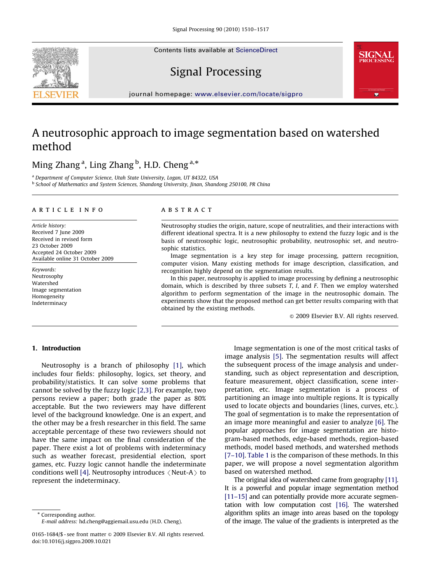Contents lists available at ScienceDirect





Signal Processing

journal homepage: <www.elsevier.com/locate/sigpro>

# A neutrosophic approach to image segmentation based on watershed method

# Ming Zhang<sup>a</sup>, Ling Zhang<sup>b</sup>, H.D. Cheng<sup>a,\*</sup>

<sup>a</sup> Department of Computer Science, Utah State University, Logan, UT 84322, USA <sup>b</sup> School of Mathematics and System Sciences, Shandong University, Jinan, Shandong 250100, PR China

#### article info

Article history: Received 7 June 2009 Received in revised form 23 October 2009 Accepted 24 October 2009 Available online 31 October 2009

Keywords: Neutrosophy Watershed Image segmentation Homogeneity Indeterminacy

## **ABSTRACT**

Neutrosophy studies the origin, nature, scope of neutralities, and their interactions with different ideational spectra. It is a new philosophy to extend the fuzzy logic and is the basis of neutrosophic logic, neutrosophic probability, neutrosophic set, and neutrosophic statistics.

Image segmentation is a key step for image processing, pattern recognition, computer vision. Many existing methods for image description, classification, and recognition highly depend on the segmentation results.

In this paper, neutrosophy is applied to image processing by defining a neutrosophic domain, which is described by three subsets  $T$ ,  $I$ , and  $F$ . Then we employ watershed algorithm to perform segmentation of the image in the neutrosophic domain. The experiments show that the proposed method can get better results comparing with that obtained by the existing methods.

 $\odot$  2009 Elsevier B.V. All rights reserved.

## 1. Introduction

Neutrosophy is a branch of philosophy [\[1\]](#page-7-0), which includes four fields: philosophy, logics, set theory, and probability/statistics. It can solve some problems that cannot be solved by the fuzzy logic [\[2,3\].](#page-7-0) For example, two persons review a paper; both grade the paper as 80% acceptable. But the two reviewers may have different level of the background knowledge. One is an expert, and the other may be a fresh researcher in this field. The same acceptable percentage of these two reviewers should not have the same impact on the final consideration of the paper. There exist a lot of problems with indeterminacy such as weather forecast, presidential election, sport games, etc. Fuzzy logic cannot handle the indeterminate conditions well [\[4\].](#page-7-0) Neutrosophy introduces  $\langle$  Neut-A $\rangle$  to represent the indeterminacy.

\* Corresponding author. E-mail address: [hd.cheng@aggiemail.usu.edu \(H.D. Cheng\)](mailto:hd.cheng@aggiemail.usu.edu).

doi:[10.1016/j.sigpro.2009.10.021](dx.doi.org/10.1016/j.sigpro.2009.10.021)

Image segmentation is one of the most critical tasks of image analysis [\[5\]](#page-7-0). The segmentation results will affect the subsequent process of the image analysis and understanding, such as object representation and description, feature measurement, object classification, scene interpretation, etc. Image segmentation is a process of partitioning an image into multiple regions. It is typically used to locate objects and boundaries (lines, curves, etc.). The goal of segmentation is to make the representation of an image more meaningful and easier to analyze [\[6\]](#page-7-0). The popular approaches for image segmentation are histogram-based methods, edge-based methods, region-based methods, model based methods, and watershed methods [\[7–10\]](#page-7-0). Table 1 is the comparison of these methods. In this paper, we will propose a novel segmentation algorithm based on watershed method.

The original idea of watershed came from geography [\[11\]](#page-7-0). It is a powerful and popular image segmentation method [\[11–15\]](#page-7-0) and can potentially provide more accurate segmentation with low computation cost [\[16\]](#page-7-0). The watershed algorithm splits an image into areas based on the topology of the image. The value of the gradients is interpreted as the

<sup>0165-1684/\$ -</sup> see front matter  $\circ$  2009 Elsevier B.V. All rights reserved.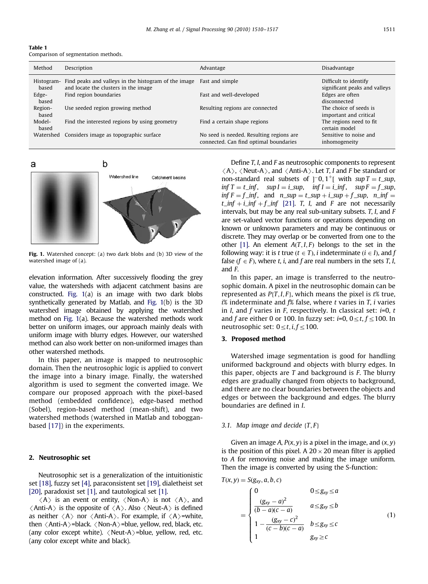| ı<br>L |
|--------|
|--------|

Comparison of segmentation methods.

| Method              | Description                                                                                                  | Advantage                                                                          | Disadvantage                                           |
|---------------------|--------------------------------------------------------------------------------------------------------------|------------------------------------------------------------------------------------|--------------------------------------------------------|
| Histogram-<br>based | Find peaks and valleys in the histogram of the image Fast and simple<br>and locate the clusters in the image |                                                                                    | Difficult to identify<br>significant peaks and valleys |
| Edge-<br>based      | Find region boundaries                                                                                       | Fast and well-developed                                                            | Edges are often<br>disconnected                        |
| Region-<br>based    | Use seeded region growing method                                                                             | Resulting regions are connected                                                    | The choice of seeds is<br>important and critical       |
| Model-<br>based     | Find the interested regions by using geometry                                                                | Find a certain shape regions                                                       | The regions need to fit<br>certain model               |
|                     | Watershed Considers image as topographic surface                                                             | No seed is needed. Resulting regions are<br>connected. Can find optimal boundaries | Sensitive to noise and<br>inhomogeneity                |



Fig. 1. Watershed concept: (a) two dark blobs and (b) 3D view of the watershed image of (a).

elevation information. After successively flooding the grey value, the watersheds with adjacent catchment basins are constructed. Fig. 1(a) is an image with two dark blobs synthetically generated by Matlab, and Fig. 1(b) is the 3D watershed image obtained by applying the watershed method on Fig. 1(a). Because the watershed methods work better on uniform images, our approach mainly deals with uniform image with blurry edges. However, our watershed method can also work better on non-uniformed images than other watershed methods.

In this paper, an image is mapped to neutrosophic domain. Then the neutrosophic logic is applied to convert the image into a binary image. Finally, the watershed algorithm is used to segment the converted image. We compare our proposed approach with the pixel-based method (embedded confidence), edge-based method (Sobel), region-based method (mean-shift), and two watershed methods (watershed in Matlab and tobogganbased [\[17\]](#page-7-0)) in the experiments.

## 2. Neutrosophic set

Neutrosophic set is a generalization of the intuitionistic set [\[18\],](#page-7-0) fuzzy set [\[4\]](#page-7-0), paraconsistent set [\[19\]](#page-7-0), dialetheist set [\[20\],](#page-7-0) paradoxist set [\[1\]](#page-7-0), and tautological set [1].

 $\langle A \rangle$  is an event or entity,  $\langle \text{Non-A} \rangle$  is not  $\langle A \rangle$ , and  $\langle$ Anti-A $\rangle$  is the opposite of  $\langle A \rangle$ . Also  $\langle$  Neut-A $\rangle$  is defined as neither  $\langle A \rangle$  nor  $\langle$  Anti-A $\rangle$ . For example, if  $\langle A \rangle$ =white, then  $\langle$  Anti-A $\rangle$ =black.  $\langle$  Non-A $\rangle$ =blue, yellow, red, black, etc. (any color except white).  $\langle$  Neut-A $\rangle$ =blue, yellow, red, etc. (any color except white and black).

Define T, I, and F as neutrosophic components to represent  $\langle A \rangle$ ,  $\langle$  Neut-A $\rangle$ , and  $\langle$  Anti-A $\rangle$ . Let T, I and F be standard or non-standard real subsets of  $]$ <sup>-</sup>0,1<sup>+</sup>[ with sup  $T = t$ \_sup,  $\inf T = t_{\text{inf}}$ ,  $\sup I = i_{\text{sup}}$ ,  $\inf I = i_{\text{inf}}$ ,  $\sup F = f_{\text{sup}}$ ,  $\inf F = f_{\text{inf}}$ , and  $n_{\text{sup}} = t_{\text{sup}} + i_{\text{sup}} + f_{\text{sup}}$ ,  $n_{\text{inf}} =$  $t_$ inf + i\_inf + f\_inf [\[21\].](#page-7-0) T, I, and F are not necessarily intervals, but may be any real sub-unitary subsets. T, I, and F are set-valued vector functions or operations depending on known or unknown parameters and may be continuous or discrete. They may overlap or be converted from one to the other [\[1\].](#page-7-0) An element  $A(T, I, F)$  belongs to the set in the following way: it is t true  $(t \in T)$ , i indeterminate  $(i \in I)$ , and f false ( $f \in F$ ), where t, i, and f are real numbers in the sets T, I, and F.

In this paper, an image is transferred to the neutrosophic domain. A pixel in the neutrosophic domain can be represented as  $P{T, I, F}$ , which means the pixel is t% true,  $i$ % indeterminate and  $f$ % false, where  $t$  varies in  $T$ ,  $i$  varies in I, and f varies in F, respectively. In classical set:  $i=0$ , t and f are either 0 or 100. In fuzzy set:  $i=0$ ,  $0 \le t$ ,  $f \le 100$ . In neutrosophic set:  $0 \le t$ ,  $i, f \le 100$ .

## 3. Proposed method

Watershed image segmentation is good for handling uniformed background and objects with blurry edges. In this paper, objects are  $T$  and background is  $F$ . The blurry edges are gradually changed from objects to background, and there are no clear boundaries between the objects and edges or between the background and edges. The blurry boundaries are defined in I.

## 3.1. Map image and decide  $\{T, F\}$

Given an image A,  $P(x, y)$  is a pixel in the image, and  $(x, y)$ is the position of this pixel. A  $20 \times 20$  mean filter is applied to A for removing noise and making the image uniform. Then the image is converted by using the S-function:

$$
T(x, y) = S(g_{xy}, a, b, c)
$$
\n
$$
= \begin{cases}\n0 & 0 \le g_{xy} \le a \\
\frac{(g_{xy} - a)^2}{(b - a)(c - a)} & a \le g_{xy} \le b \\
1 - \frac{(g_{xy} - c)^2}{(c - b)(c - a)} & b \le g_{xy} \le c \\
1 & g_{xy} \ge c\n\end{cases}
$$
\n(1)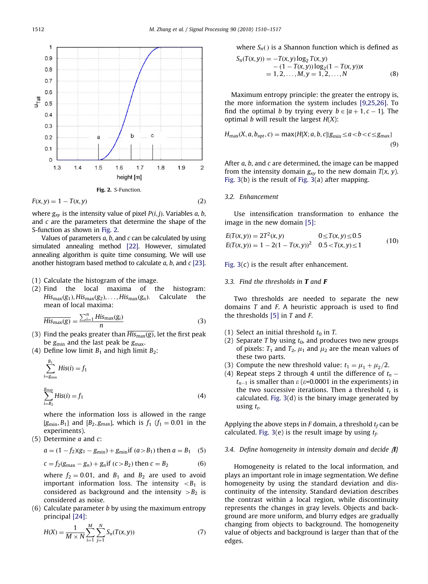

$$
F(x, y) = 1 - T(x, y) \tag{2}
$$

where  $g_{xy}$  is the intensity value of pixel  $P(i, j)$ . Variables a, b, and  $c$  are the parameters that determine the shape of the S-function as shown in Fig. 2.

Values of parameters  $a$ ,  $b$ , and  $c$  can be calculated by using simulated annealing method [\[22\].](#page-7-0) However, simulated annealing algorithm is quite time consuming. We will use another histogram based method to calculate  $a$ ,  $b$ , and  $c$  [\[23\]](#page-7-0).

## (1) Calculate the histogram of the image.

(2) Find the local maxima of the histogram:  $His_{max}(g_1), His_{max}(g_2), \ldots, His_{max}(g_n)$ . Calculate the mean of local maxima:

$$
\overline{His_{\text{max}}(g)} = \frac{\sum_{i=1}^{n} His_{\text{max}}(g_i)}{n}
$$
 (3)

- (3) Find the peaks greater than  $\overline{His_{\text{max}}(g)}$ , let the first peak be  $g_{\text{min}}$  and the last peak be  $g_{\text{max}}$ .
- (4) Define low limit  $B_1$  and high limit  $B_2$ :

$$
\sum_{i=g_{\min}}^{B_1} His(i) = f_1
$$
  

$$
\sum_{i=B_2}^{g_{\max}} His(i) = f_1
$$
 (4)

where the information loss is allowed in the range [ $g_{\text{min}}$ , $B_1$ ] and [ $B_2$ , $g_{\text{max}}$ ], which is  $f_1$  ( $f_1 = 0.01$  in the experiments).

(5) Determine  $a$  and  $c$ :

$$
a = (1 - f_2)(g_1 - g_{\min}) + g_{\min} \text{if } (a > B_1) \text{ then } a = B_1 \quad (5)
$$

$$
c = f_2(g_{\text{max}} - g_n) + g_n \text{ if } (c > B_2) \text{ then } c = B_2 \tag{6}
$$

where  $f_2 = 0.01$ , and  $B_1$  and  $B_2$  are used to avoid important information loss. The intensity  $\langle B_1 \rangle$  is considered as background and the intensity  $>B_2$  is considered as noise.

 $(6)$  Calculate parameter *b* by using the maximum entropy principal [\[24\]](#page-7-0):

$$
H(X) = \frac{1}{M \times N} \sum_{i=1}^{M} \sum_{j=1}^{N} S_n(T(x, y))
$$
\n(7)

where 
$$
S_n()
$$
 is a Shannon function which is defined as

$$
S_n(T(x, y)) = -T(x, y) \log_2 T(x, y)
$$
  
- (1 - T(x, y)) \log\_2(1 - T(x, y))x  
= 1, 2, ..., M, y = 1, 2, ..., N (8)

Maximum entropy principle: the greater the entropy is, the more information the system includes [\[9,25,26\].](#page-7-0) To find the optimal b by trying every  $b \in [a+1, c-1]$ . The optimal *b* will result the largest  $H(X)$ :

$$
H_{\text{max}}(X, a, b_{opt}, c) = \max\{H[X; a, b, c]|g_{\text{min}} \le a < b < c \le g_{\text{max}}\}\tag{9}
$$

After a, b, and c are determined, the image can be mapped from the intensity domain  $g_{xy}$  to the new domain  $T(x, y)$ . [Fig. 3\(](#page-3-0)b) is the result of [Fig. 3](#page-3-0)(a) after mapping.

# 3.2. Enhancement

Use intensification transformation to enhance the image in the new domain [\[5\]](#page-7-0):

$$
E(T(x, y)) = 2T2(x, y)
$$
  
0 \le T(x, y) \le 0.5  

$$
E(T(x, y)) = 1 - 2(1 - T(x, y))^{2}
$$
  
0.5 < T(x, y) \le 1  
(10)

[Fig. 3\(](#page-3-0)c) is the result after enhancement.

#### 3.3. Find the thresholds in  $T$  and  $F$

Two thresholds are needed to separate the new domains  $T$  and  $F$ . A heuristic approach is used to find the thresholds  $[5]$  in T and F.

- (1) Select an initial threshold  $t_0$  in T.
- (2) Separate T by using  $t_0$ , and produces two new groups of pixels:  $T_1$  and  $T_2$ ,  $\mu_1$  and  $\mu_2$  are the mean values of these two parts.
- (3) Compute the new threshold value:  $t_1 = \mu_1 + \mu_2/2$ .
- (4) Repeat steps 2 through 4 until the difference of  $t_n$   $t_{n-1}$  is smaller than  $\varepsilon$  ( $\varepsilon$ =0.0001 in the experiments) in the two successive iterations. Then a threshold  $t_t$  is calculated. [Fig. 3](#page-3-0)(d) is the binary image generated by using  $t_t$ .

Applying the above steps in F domain, a threshold  $t_f$  can be calculated. [Fig. 3](#page-3-0)(e) is the result image by using  $t_f$ .

#### 3.4. Define homogeneity in intensity domain and decide  $\mathbf{I}$

Homogeneity is related to the local information, and plays an important role in image segmentation. We define homogeneity by using the standard deviation and discontinuity of the intensity. Standard deviation describes the contrast within a local region, while discontinuity represents the changes in gray levels. Objects and background are more uniform, and blurry edges are gradually changing from objects to background. The homogeneity value of objects and background is larger than that of the edges.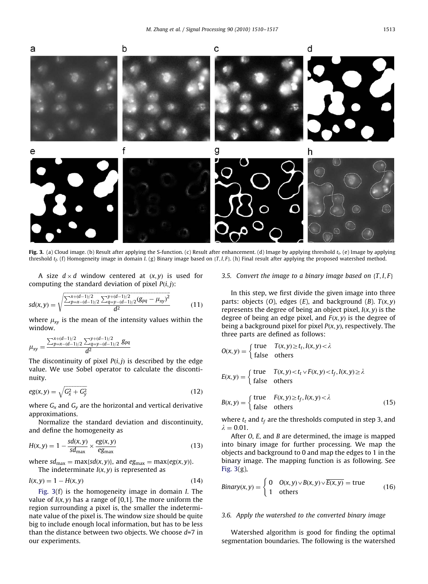<span id="page-3-0"></span>

Fig. 3. (a) Cloud image. (b) Result after applying the S-function. (c) Result after enhancement. (d) Image by applying threshold  $t_t$ . (e) Image by applying threshold  $t_f$ . (f) Homogeneity image in domain I. (g) Binary image based on {T, I, F}. (h) Final result after applying the proposed watershed method.

A size  $d \times d$  window centered at  $(x, y)$  is used for computing the standard deviation of pixel  $P(i, j)$ :

$$
sd(x,y) = \sqrt{\frac{\sum_{p=x-(d-1)/2}^{x+(d-1)/2} \sum_{q=y-(d-1)/2}^{y+(d-1)/2} (g_{pq} - \mu_{xy})^2}{d^2}}
$$
(11)

where  $\mu_{xy}$  is the mean of the intensity values within the window.

$$
\mu_{xy} = \frac{\sum_{p=x-(d-1)/2}^{x+(d-1)/2} \sum_{q=y-(d-1)/2}^{y+(d-1)/2} g_{pq}}{d^2}
$$

The discontinuity of pixel  $P(i, j)$  is described by the edge value. We use Sobel operator to calculate the discontinuity.

$$
eg(x,y) = \sqrt{G_x^2 + G_y^2}
$$
\n(12)

where  $G_x$  and  $G_y$  are the horizontal and vertical derivative approximations.

Normalize the standard deviation and discontinuity, and define the homogeneity as

$$
H(x,y) = 1 - \frac{sd(x,y)}{sd_{\text{max}}} \times \frac{eg(x,y)}{eg_{\text{max}}}
$$
(13)

where  $sd_{\text{max}} = \max\{sd(x, y)\}\text{, and } eg_{\text{max}} = \max\{eg(x, y)\}\text{.}$ The indeterminate  $I(x, y)$  is represented as

$$
I(x, y) = 1 - H(x, y) \tag{14}
$$

Fig. 3(f) is the homogeneity image in domain I. The value of  $I(x, y)$  has a range of [0,1]. The more uniform the region surrounding a pixel is, the smaller the indeterminate value of the pixel is. The window size should be quite big to include enough local information, but has to be less than the distance between two objects. We choose  $d=7$  in our experiments.

#### 3.5. Convert the image to a binary image based on  $\{T, I, F\}$

In this step, we first divide the given image into three parts: objects (O), edges (E), and background (B).  $T(x, y)$ represents the degree of being an object pixel,  $I(x, y)$  is the degree of being an edge pixel, and  $F(x, y)$  is the degree of being a background pixel for pixel  $P(x, y)$ , respectively. The three parts are defined as follows:

$$
O(x, y) = \begin{cases} \text{true} & T(x, y) \ge t_t, I(x, y) < \lambda \\ \text{false} & \text{others} \end{cases}
$$

$$
E(x, y) = \begin{cases} \text{true} & T(x, y) < t_t \vee F(x, y) < t_f, I(x, y) \ge \lambda \\ \text{false} & \text{others} \end{cases}
$$

$$
B(x, y) = \begin{cases} \text{true} & F(x, y) \ge t_f, I(x, y) < \lambda \\ \text{false} & \text{others} \end{cases} \tag{15}
$$

where  $t_t$  and  $t_f$  are the thresholds computed in step 3, and  $\lambda = 0.01$ .

After O, E, and B are determined, the image is mapped into binary image for further processing. We map the objects and background to 0 and map the edges to 1 in the binary image. The mapping function is as following. See Fig. 3(g),

*Binary*(*x*, *y*) = 
$$
\begin{cases} 0 & O(x, y) \lor B(x, y) \lor \overline{E(x, y)} = \text{true} \\ 1 & \text{others} \end{cases}
$$
 (16)

## 3.6. Apply the watershed to the converted binary image

Watershed algorithm is good for finding the optimal segmentation boundaries. The following is the watershed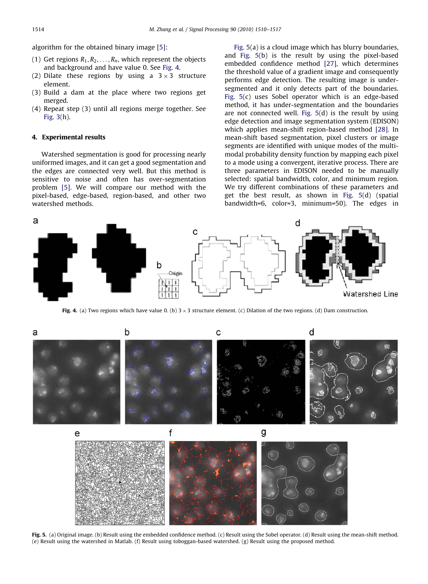<span id="page-4-0"></span>algorithm for the obtained binary image [\[5\]:](#page-7-0)

- (1) Get regions  $R_1, R_2, \ldots, R_n$ , which represent the objects and background and have value 0. See Fig. 4.
- (2) Dilate these regions by using a  $3 \times 3$  structure element.
- (3) Build a dam at the place where two regions get merged.
- (4) Repeat step (3) until all regions merge together. See [Fig. 3\(](#page-3-0)h).

## 4. Experimental results

Watershed segmentation is good for processing nearly uniformed images, and it can get a good segmentation and the edges are connected very well. But this method is sensitive to noise and often has over-segmentation problem [\[5\]](#page-7-0). We will compare our method with the pixel-based, edge-based, region-based, and other two watershed methods.

Fig. 5(a) is a cloud image which has blurry boundaries, and Fig. 5(b) is the result by using the pixel-based embedded confidence method [\[27\]](#page-7-0), which determines the threshold value of a gradient image and consequently performs edge detection. The resulting image is undersegmented and it only detects part of the boundaries. Fig. 5(c) uses Sobel operator which is an edge-based method, it has under-segmentation and the boundaries are not connected well. Fig. 5(d) is the result by using edge detection and image segmentation system (EDISON) which applies mean-shift region-based method [\[28\].](#page-7-0) In mean-shift based segmentation, pixel clusters or image segments are identified with unique modes of the multimodal probability density function by mapping each pixel to a mode using a convergent, iterative process. There are three parameters in EDISON needed to be manually selected: spatial bandwidth, color, and minimum region. We try different combinations of these parameters and get the best result, as shown in Fig. 5(d) (spatial bandwidth=6, color=3, minimum=50). The edges in



Fig. 4. (a) Two regions which have value 0. (b)  $3 \times 3$  structure element. (c) Dilation of the two regions. (d) Dam construction.



Fig. 5. (a) Original image. (b) Result using the embedded confidence method. (c) Result using the Sobel operator. (d) Result using the mean-shift method. (e) Result using the watershed in Matlab. (f) Result using toboggan-based watershed. (g) Result using the proposed method.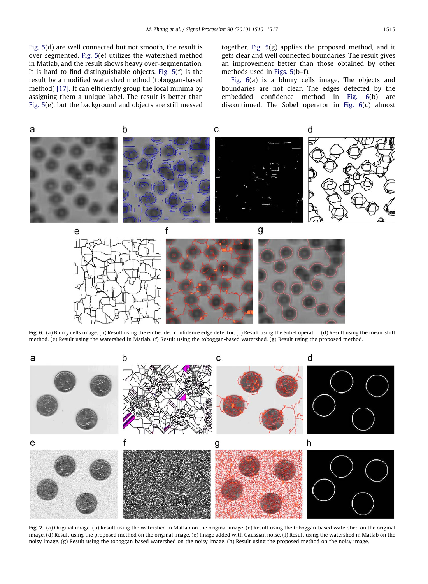<span id="page-5-0"></span>[Fig. 5\(](#page-4-0)d) are well connected but not smooth, the result is over-segmented. [Fig. 5](#page-4-0)(e) utilizes the watershed method in Matlab, and the result shows heavy over-segmentation. It is hard to find distinguishable objects. [Fig. 5](#page-4-0)(f) is the result by a modified watershed method (toboggan-based method) [\[17\].](#page-7-0) It can efficiently group the local minima by assigning them a unique label. The result is better than [Fig. 5\(](#page-4-0)e), but the background and objects are still messed

together. [Fig. 5](#page-4-0)(g) applies the proposed method, and it gets clear and well connected boundaries. The result gives an improvement better than those obtained by other methods used in [Figs. 5](#page-4-0)(b–f).

Fig. 6(a) is a blurry cells image. The objects and boundaries are not clear. The edges detected by the embedded confidence method in Fig. 6(b) are discontinued. The Sobel operator in Fig. 6(c) almost



Fig. 6. (a) Blurry cells image. (b) Result using the embedded confidence edge detector. (c) Result using the Sobel operator. (d) Result using the mean-shift method. (e) Result using the watershed in Matlab. (f) Result using the toboggan-based watershed. (g) Result using the proposed method.



Fig. 7. (a) Original image. (b) Result using the watershed in Matlab on the original image. (c) Result using the toboggan-based watershed on the original image. (d) Result using the proposed method on the original image. (e) Image added with Gaussian noise. (f) Result using the watershed in Matlab on the noisy image. (g) Result using the toboggan-based watershed on the noisy image. (h) Result using the proposed method on the noisy image.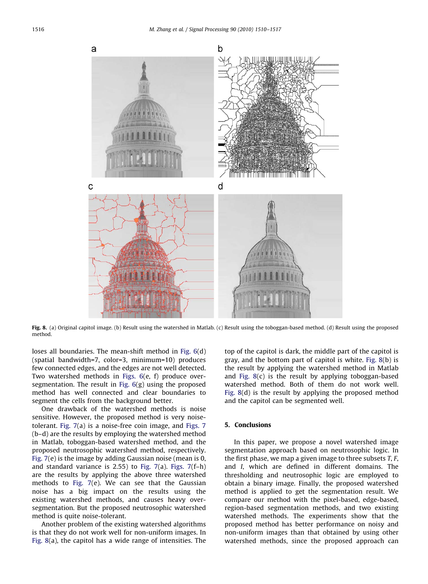

Fig. 8. (a) Original capitol image. (b) Result using the watershed in Matlab. (c) Result using the toboggan-based method. (d) Result using the proposed method.

loses all boundaries. The mean-shift method in [Fig. 6\(](#page-5-0)d) (spatial bandwidth=7, color=3, minimum=10) produces few connected edges, and the edges are not well detected. Two watershed methods in [Figs. 6](#page-5-0)(e, f) produce oversegmentation. The result in [Fig. 6\(](#page-5-0)g) using the proposed method has well connected and clear boundaries to segment the cells from the background better.

One drawback of the watershed methods is noise sensitive. However, the proposed method is very noisetolerant. [Fig. 7](#page-5-0)(a) is a noise-free coin image, and [Figs. 7](#page-5-0) (b–d) are the results by employing the watershed method in Matlab, toboggan-based watershed method, and the proposed neutrosophic watershed method, respectively. [Fig. 7](#page-5-0)(e) is the image by adding Gaussian noise (mean is 0, and standard variance is 2.55) to Fig.  $7(a)$ . Figs.  $7(f-h)$ are the results by applying the above three watershed methods to [Fig. 7](#page-5-0)(e). We can see that the Gaussian noise has a big impact on the results using the existing watershed methods, and causes heavy oversegmentation. But the proposed neutrosophic watershed method is quite noise-tolerant.

Another problem of the existing watershed algorithms is that they do not work well for non-uniform images. In Fig. 8(a), the capitol has a wide range of intensities. The

top of the capitol is dark, the middle part of the capitol is gray, and the bottom part of capitol is white. Fig. 8(b) is the result by applying the watershed method in Matlab and Fig.  $8(c)$  is the result by applying toboggan-based watershed method. Both of them do not work well. Fig. 8(d) is the result by applying the proposed method and the capitol can be segmented well.

# 5. Conclusions

In this paper, we propose a novel watershed image segmentation approach based on neutrosophic logic. In the first phase, we map a given image to three subsets  $T$ ,  $F$ , and I, which are defined in different domains. The thresholding and neutrosophic logic are employed to obtain a binary image. Finally, the proposed watershed method is applied to get the segmentation result. We compare our method with the pixel-based, edge-based, region-based segmentation methods, and two existing watershed methods. The experiments show that the proposed method has better performance on noisy and non-uniform images than that obtained by using other watershed methods, since the proposed approach can